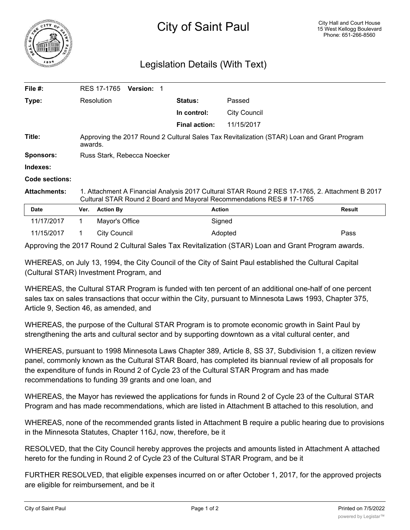

## Legislation Details (With Text)

| File $#$ :            | RES 17-1765                                                                                                                                                             | <b>Version: 1</b>    |              |               |
|-----------------------|-------------------------------------------------------------------------------------------------------------------------------------------------------------------------|----------------------|--------------|---------------|
| Type:                 | Resolution                                                                                                                                                              | <b>Status:</b>       | Passed       |               |
|                       |                                                                                                                                                                         | In control:          | City Council |               |
|                       |                                                                                                                                                                         | <b>Final action:</b> | 11/15/2017   |               |
| Title:                | Approving the 2017 Round 2 Cultural Sales Tax Revitalization (STAR) Loan and Grant Program<br>awards.                                                                   |                      |              |               |
| <b>Sponsors:</b>      | Russ Stark, Rebecca Noecker                                                                                                                                             |                      |              |               |
| Indexes:              |                                                                                                                                                                         |                      |              |               |
| <b>Code sections:</b> |                                                                                                                                                                         |                      |              |               |
| <b>Attachments:</b>   | 1. Attachment A Financial Analysis 2017 Cultural STAR Round 2 RES 17-1765, 2. Attachment B 2017<br>Cultural STAR Round 2 Board and Mayoral Recommendations RES #17-1765 |                      |              |               |
| <b>Date</b>           | <b>Action By</b><br>Ver.                                                                                                                                                | <b>Action</b>        |              | <b>Result</b> |
| 11/17/2017            | Mayor's Office                                                                                                                                                          |                      | Signed       |               |

11/15/2017 1 City Council **Adopted** Pass **Pass** Approving the 2017 Round 2 Cultural Sales Tax Revitalization (STAR) Loan and Grant Program awards.

WHEREAS, on July 13, 1994, the City Council of the City of Saint Paul established the Cultural Capital (Cultural STAR) Investment Program, and

WHEREAS, the Cultural STAR Program is funded with ten percent of an additional one-half of one percent sales tax on sales transactions that occur within the City, pursuant to Minnesota Laws 1993, Chapter 375, Article 9, Section 46, as amended, and

WHEREAS, the purpose of the Cultural STAR Program is to promote economic growth in Saint Paul by strengthening the arts and cultural sector and by supporting downtown as a vital cultural center, and

WHEREAS, pursuant to 1998 Minnesota Laws Chapter 389, Article 8, SS 37, Subdivision 1, a citizen review panel, commonly known as the Cultural STAR Board, has completed its biannual review of all proposals for the expenditure of funds in Round 2 of Cycle 23 of the Cultural STAR Program and has made recommendations to funding 39 grants and one loan, and

WHEREAS, the Mayor has reviewed the applications for funds in Round 2 of Cycle 23 of the Cultural STAR Program and has made recommendations, which are listed in Attachment B attached to this resolution, and

WHEREAS, none of the recommended grants listed in Attachment B require a public hearing due to provisions in the Minnesota Statutes, Chapter 116J, now, therefore, be it

RESOLVED, that the City Council hereby approves the projects and amounts listed in Attachment A attached hereto for the funding in Round 2 of Cycle 23 of the Cultural STAR Program, and be it

FURTHER RESOLVED, that eligible expenses incurred on or after October 1, 2017, for the approved projects are eligible for reimbursement, and be it